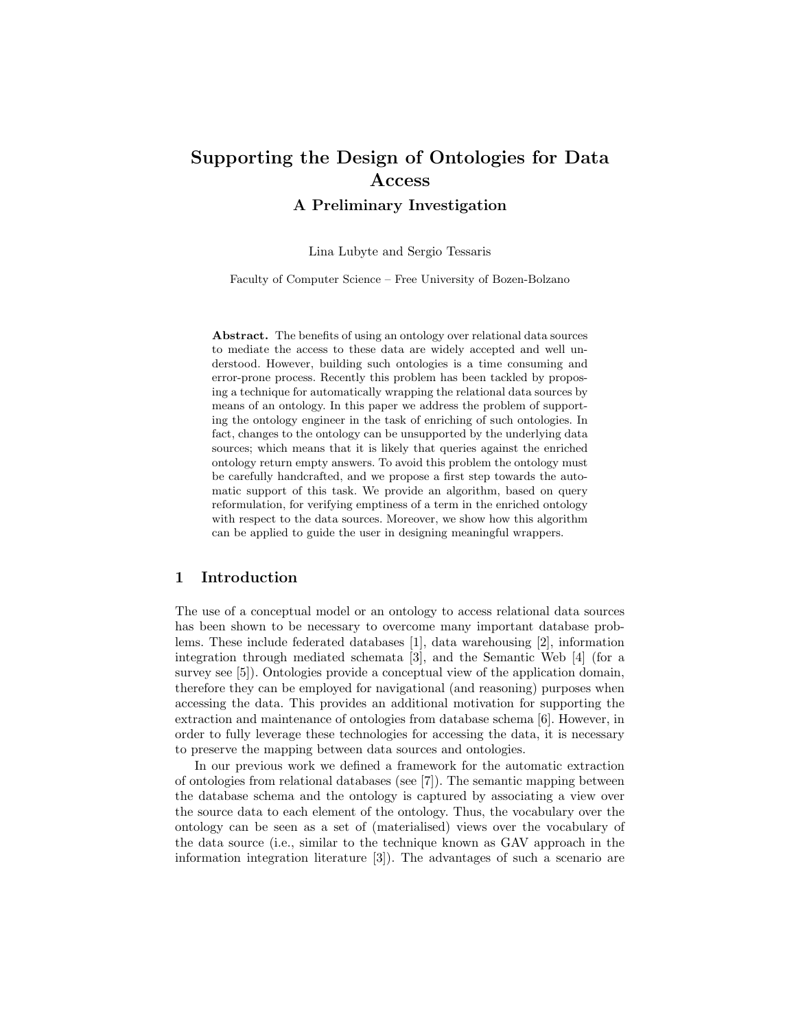# Supporting the Design of Ontologies for Data Access

A Preliminary Investigation

Lina Lubyte and Sergio Tessaris

Faculty of Computer Science – Free University of Bozen-Bolzano

Abstract. The benefits of using an ontology over relational data sources to mediate the access to these data are widely accepted and well understood. However, building such ontologies is a time consuming and error-prone process. Recently this problem has been tackled by proposing a technique for automatically wrapping the relational data sources by means of an ontology. In this paper we address the problem of supporting the ontology engineer in the task of enriching of such ontologies. In fact, changes to the ontology can be unsupported by the underlying data sources; which means that it is likely that queries against the enriched ontology return empty answers. To avoid this problem the ontology must be carefully handcrafted, and we propose a first step towards the automatic support of this task. We provide an algorithm, based on query reformulation, for verifying emptiness of a term in the enriched ontology with respect to the data sources. Moreover, we show how this algorithm can be applied to guide the user in designing meaningful wrappers.

# 1 Introduction

The use of a conceptual model or an ontology to access relational data sources has been shown to be necessary to overcome many important database problems. These include federated databases [1], data warehousing [2], information integration through mediated schemata [3], and the Semantic Web [4] (for a survey see [5]). Ontologies provide a conceptual view of the application domain, therefore they can be employed for navigational (and reasoning) purposes when accessing the data. This provides an additional motivation for supporting the extraction and maintenance of ontologies from database schema [6]. However, in order to fully leverage these technologies for accessing the data, it is necessary to preserve the mapping between data sources and ontologies.

In our previous work we defined a framework for the automatic extraction of ontologies from relational databases (see [7]). The semantic mapping between the database schema and the ontology is captured by associating a view over the source data to each element of the ontology. Thus, the vocabulary over the ontology can be seen as a set of (materialised) views over the vocabulary of the data source (i.e., similar to the technique known as GAV approach in the information integration literature [3]). The advantages of such a scenario are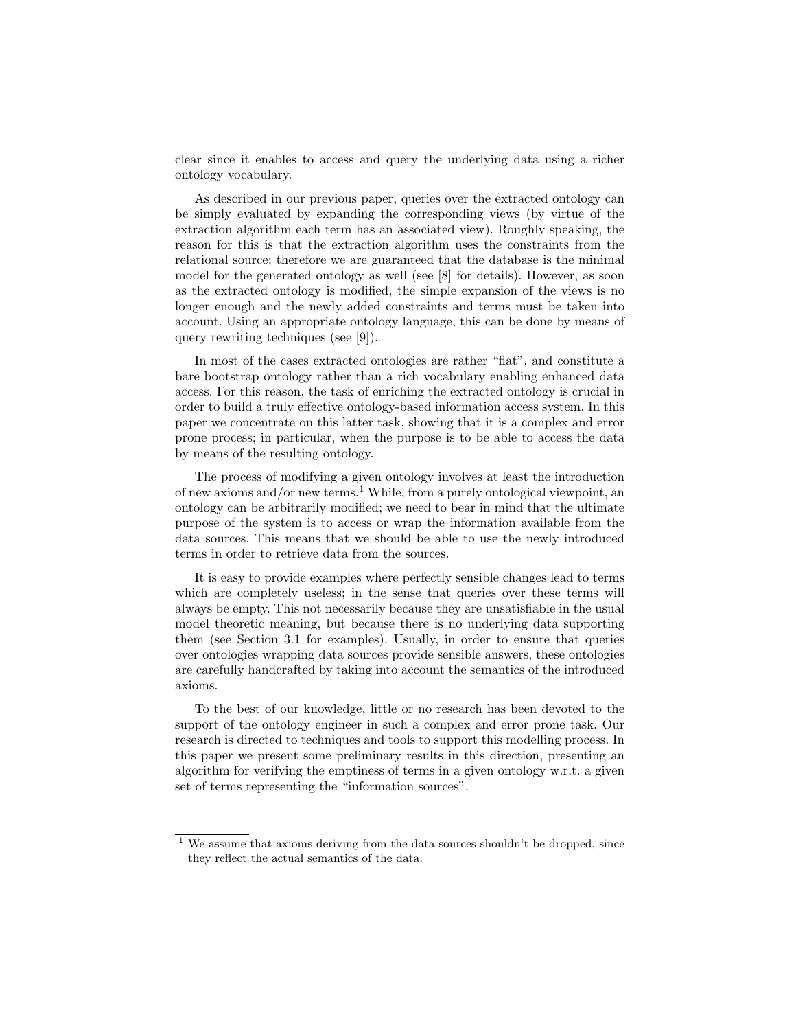clear since it enables to access and query the underlying data using a richer ontology vocabulary.

As described in our previous paper, queries over the extracted ontology can be simply evaluated by expanding the corresponding views (by virtue of the extraction algorithm each term has an associated view). Roughly speaking, the reason for this is that the extraction algorithm uses the constraints from the relational source; therefore we are guaranteed that the database is the minimal model for the generated ontology as well (see [8] for details). However, as soon as the extracted ontology is modified, the simple expansion of the views is no longer enough and the newly added constraints and terms must be taken into account. Using an appropriate ontology language, this can be done by means of query rewriting techniques (see [9]).

In most of the cases extracted ontologies are rather "flat", and constitute a bare bootstrap ontology rather than a rich vocabulary enabling enhanced data access. For this reason, the task of enriching the extracted ontology is crucial in order to build a truly effective ontology-based information access system. In this paper we concentrate on this latter task, showing that it is a complex and error prone process; in particular, when the purpose is to be able to access the data by means of the resulting ontology.

The process of modifying a given ontology involves at least the introduction of new axioms and/or new terms.<sup>1</sup> While, from a purely ontological viewpoint, an ontology can be arbitrarily modified; we need to bear in mind that the ultimate purpose of the system is to access or wrap the information available from the data sources. This means that we should be able to use the newly introduced terms in order to retrieve data from the sources.

It is easy to provide examples where perfectly sensible changes lead to terms which are completely useless; in the sense that queries over these terms will always be empty. This not necessarily because they are unsatisfiable in the usual model theoretic meaning, but because there is no underlying data supporting them (see Section 3.1 for examples). Usually, in order to ensure that queries over ontologies wrapping data sources provide sensible answers, these ontologies are carefully handcrafted by taking into account the semantics of the introduced axioms.

To the best of our knowledge, little or no research has been devoted to the support of the ontology engineer in such a complex and error prone task. Our research is directed to techniques and tools to support this modelling process. In this paper we present some preliminary results in this direction, presenting an algorithm for verifying the emptiness of terms in a given ontology w.r.t. a given set of terms representing the "information sources".

 $1$  We assume that axioms deriving from the data sources shouldn't be dropped, since they reflect the actual semantics of the data.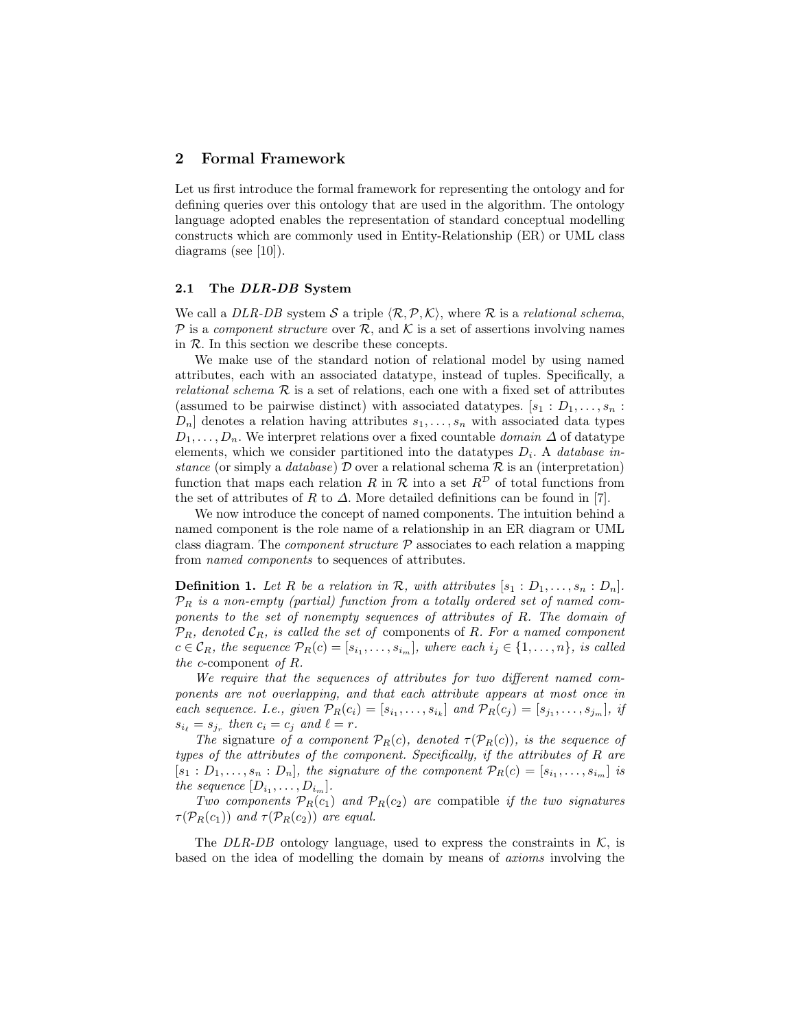## 2 Formal Framework

Let us first introduce the formal framework for representing the ontology and for defining queries over this ontology that are used in the algorithm. The ontology language adopted enables the representation of standard conceptual modelling constructs which are commonly used in Entity-Relationship (ER) or UML class diagrams (see [10]).

#### 2.1 The DLR-DB System

We call a DLR-DB system S a triple  $\langle \mathcal{R}, \mathcal{P}, \mathcal{K} \rangle$ , where R is a relational schema, P is a component structure over R, and K is a set of assertions involving names in  $R$ . In this section we describe these concepts.

We make use of the standard notion of relational model by using named attributes, each with an associated datatype, instead of tuples. Specifically, a relational schema  $\mathcal R$  is a set of relations, each one with a fixed set of attributes (assumed to be pairwise distinct) with associated datatypes.  $[s_1 : D_1, \ldots, s_n :$  $D_n$  denotes a relation having attributes  $s_1, \ldots, s_n$  with associated data types  $D_1, \ldots, D_n$ . We interpret relations over a fixed countable *domain*  $\Delta$  of datatype elements, which we consider partitioned into the datatypes  $D_i$ . A *database in*stance (or simply a database)  $\mathcal D$  over a relational schema  $\mathcal R$  is an (interpretation) function that maps each relation R in R into a set  $R^{\mathcal{D}}$  of total functions from the set of attributes of R to  $\Delta$ . More detailed definitions can be found in [7].

We now introduce the concept of named components. The intuition behind a named component is the role name of a relationship in an ER diagram or UML class diagram. The *component structure*  $P$  associates to each relation a mapping from named components to sequences of attributes.

**Definition 1.** Let R be a relation in R, with attributes  $[s_1 : D_1, \ldots, s_n : D_n]$ .  $\mathcal{P}_R$  is a non-empty (partial) function from a totally ordered set of named components to the set of nonempty sequences of attributes of R. The domain of  $\mathcal{P}_R$ , denoted  $\mathcal{C}_R$ , is called the set of components of R. For a named component  $c \in \mathcal{C}_R$ , the sequence  $\mathcal{P}_R(c) = [s_{i_1}, \ldots, s_{i_m}],$  where each  $i_j \in \{1, \ldots, n\}$ , is called the c-component of  $R$ .

We require that the sequences of attributes for two different named components are not overlapping, and that each attribute appears at most once in each sequence. I.e., given  $\mathcal{P}_R(c_i) = [s_{i_1}, \ldots, s_{i_k}]$  and  $\mathcal{P}_R(c_j) = [s_{j_1}, \ldots, s_{j_m}],$  if  $s_{i_\ell} = s_{j_r}$  then  $c_i = c_j$  and  $\ell = r$ .

The signature of a component  $\mathcal{P}_R(c)$ , denoted  $\tau(\mathcal{P}_R(c))$ , is the sequence of types of the attributes of the component. Specifically, if the attributes of R are  $[s_1 : D_1, \ldots, s_n : D_n],$  the signature of the component  $\mathcal{P}_R(c) = [s_{i_1}, \ldots, s_{i_m}]$  is the sequence  $[D_{i_1}, \ldots, D_{i_m}].$ 

Two components  $\mathcal{P}_R(c_1)$  and  $\mathcal{P}_R(c_2)$  are compatible if the two signatures  $\tau(\mathcal{P}_R(c_1))$  and  $\tau(\mathcal{P}_R(c_2))$  are equal.

The DLR-DB ontology language, used to express the constraints in  $K$ , is based on the idea of modelling the domain by means of axioms involving the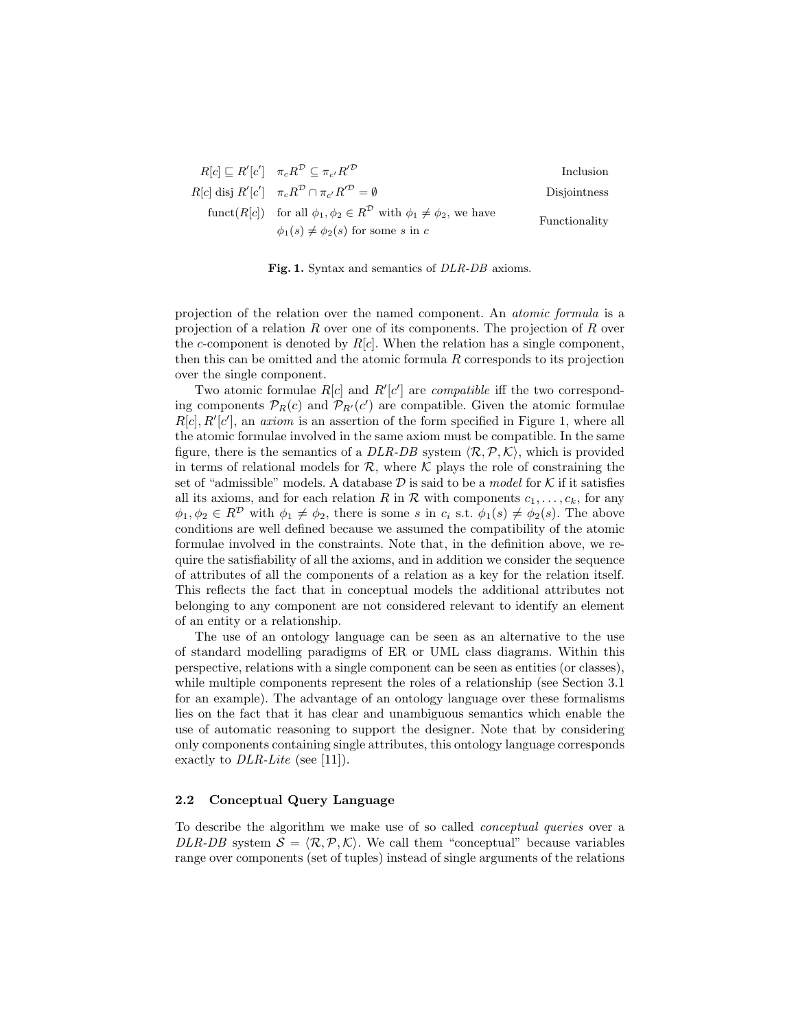$$
R[c] \sqsubseteq R'[c'] \quad \pi_c R^{\mathcal{D}} \subseteq \pi_{c'} R'^{\mathcal{D}}
$$
 Inclusion  
 
$$
R[c] \text{ disj } R'[c'] \quad \pi_c R^{\mathcal{D}} \cap \pi_{c'} R'^{\mathcal{D}} = \emptyset
$$
 Disjointness  
 
$$
\text{funct}(R[c]) \quad \text{for all } \phi_1, \phi_2 \in R^{\mathcal{D}} \text{ with } \phi_1 \neq \phi_2 \text{, we have}
$$
 
$$
\phi_1(s) \neq \phi_2(s) \text{ for some } s \text{ in } c
$$

Fig. 1. Syntax and semantics of DLR-DB axioms.

projection of the relation over the named component. An atomic formula is a projection of a relation  $R$  over one of its components. The projection of  $R$  over the c-component is denoted by  $R[c]$ . When the relation has a single component, then this can be omitted and the atomic formula R corresponds to its projection over the single component.

Two atomic formulae  $R[c]$  and  $R'[c']$  are *compatible* iff the two corresponding components  $\mathcal{P}_R(c)$  and  $\mathcal{P}_{R'}(c')$  are compatible. Given the atomic formulae  $R[c], R'[c']$ , an *axiom* is an assertion of the form specified in Figure 1, where all the atomic formulae involved in the same axiom must be compatible. In the same figure, there is the semantics of a DLR-DB system  $\langle \mathcal{R}, \mathcal{P}, \mathcal{K} \rangle$ , which is provided in terms of relational models for  $\mathcal{R}$ , where  $\mathcal{K}$  plays the role of constraining the set of "admissible" models. A database  $D$  is said to be a model for  $K$  if it satisfies all its axioms, and for each relation R in R with components  $c_1, \ldots, c_k$ , for any  $\phi_1, \phi_2 \in R^{\mathcal{D}}$  with  $\phi_1 \neq \phi_2$ , there is some s in  $c_i$  s.t.  $\phi_1(s) \neq \phi_2(s)$ . The above conditions are well defined because we assumed the compatibility of the atomic formulae involved in the constraints. Note that, in the definition above, we require the satisfiability of all the axioms, and in addition we consider the sequence of attributes of all the components of a relation as a key for the relation itself. This reflects the fact that in conceptual models the additional attributes not belonging to any component are not considered relevant to identify an element of an entity or a relationship.

The use of an ontology language can be seen as an alternative to the use of standard modelling paradigms of ER or UML class diagrams. Within this perspective, relations with a single component can be seen as entities (or classes), while multiple components represent the roles of a relationship (see Section 3.1) for an example). The advantage of an ontology language over these formalisms lies on the fact that it has clear and unambiguous semantics which enable the use of automatic reasoning to support the designer. Note that by considering only components containing single attributes, this ontology language corresponds exactly to *DLR-Lite* (see [11]).

## 2.2 Conceptual Query Language

To describe the algorithm we make use of so called conceptual queries over a DLR-DB system  $S = \langle \mathcal{R}, \mathcal{P}, \mathcal{K} \rangle$ . We call them "conceptual" because variables range over components (set of tuples) instead of single arguments of the relations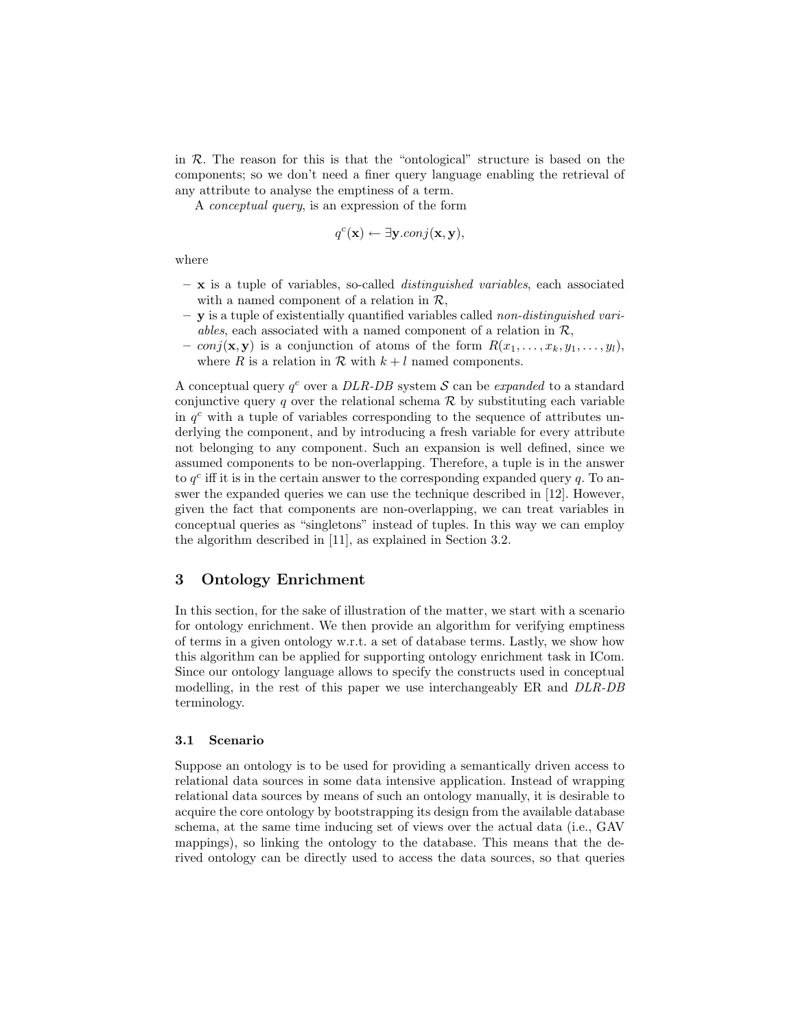in  $R$ . The reason for this is that the "ontological" structure is based on the components; so we don't need a finer query language enabling the retrieval of any attribute to analyse the emptiness of a term.

A conceptual query, is an expression of the form

$$
q^{c}(\mathbf{x}) \leftarrow \exists \mathbf{y}.conj(\mathbf{x}, \mathbf{y}),
$$

where

- $-$ **x** is a tuple of variables, so-called *distinguished variables*, each associated with a named component of a relation in  $\mathcal{R}$ ,
- y is a tuple of existentially quantified variables called non-distinguished variables, each associated with a named component of a relation in  $\mathcal{R}$ ,
- conj(**x**, **y**) is a conjunction of atoms of the form  $R(x_1, \ldots, x_k, y_1, \ldots, y_l)$ , where R is a relation in R with  $k+l$  named components.

A conceptual query  $q^c$  over a DLR-DB system S can be expanded to a standard conjunctive query q over the relational schema  $\mathcal R$  by substituting each variable in  $q<sup>c</sup>$  with a tuple of variables corresponding to the sequence of attributes underlying the component, and by introducing a fresh variable for every attribute not belonging to any component. Such an expansion is well defined, since we assumed components to be non-overlapping. Therefore, a tuple is in the answer to  $q^c$  iff it is in the certain answer to the corresponding expanded query  $q$ . To answer the expanded queries we can use the technique described in [12]. However, given the fact that components are non-overlapping, we can treat variables in conceptual queries as "singletons" instead of tuples. In this way we can employ the algorithm described in [11], as explained in Section 3.2.

# 3 Ontology Enrichment

In this section, for the sake of illustration of the matter, we start with a scenario for ontology enrichment. We then provide an algorithm for verifying emptiness of terms in a given ontology w.r.t. a set of database terms. Lastly, we show how this algorithm can be applied for supporting ontology enrichment task in ICom. Since our ontology language allows to specify the constructs used in conceptual modelling, in the rest of this paper we use interchangeably ER and DLR-DB terminology.

#### 3.1 Scenario

Suppose an ontology is to be used for providing a semantically driven access to relational data sources in some data intensive application. Instead of wrapping relational data sources by means of such an ontology manually, it is desirable to acquire the core ontology by bootstrapping its design from the available database schema, at the same time inducing set of views over the actual data (i.e., GAV mappings), so linking the ontology to the database. This means that the derived ontology can be directly used to access the data sources, so that queries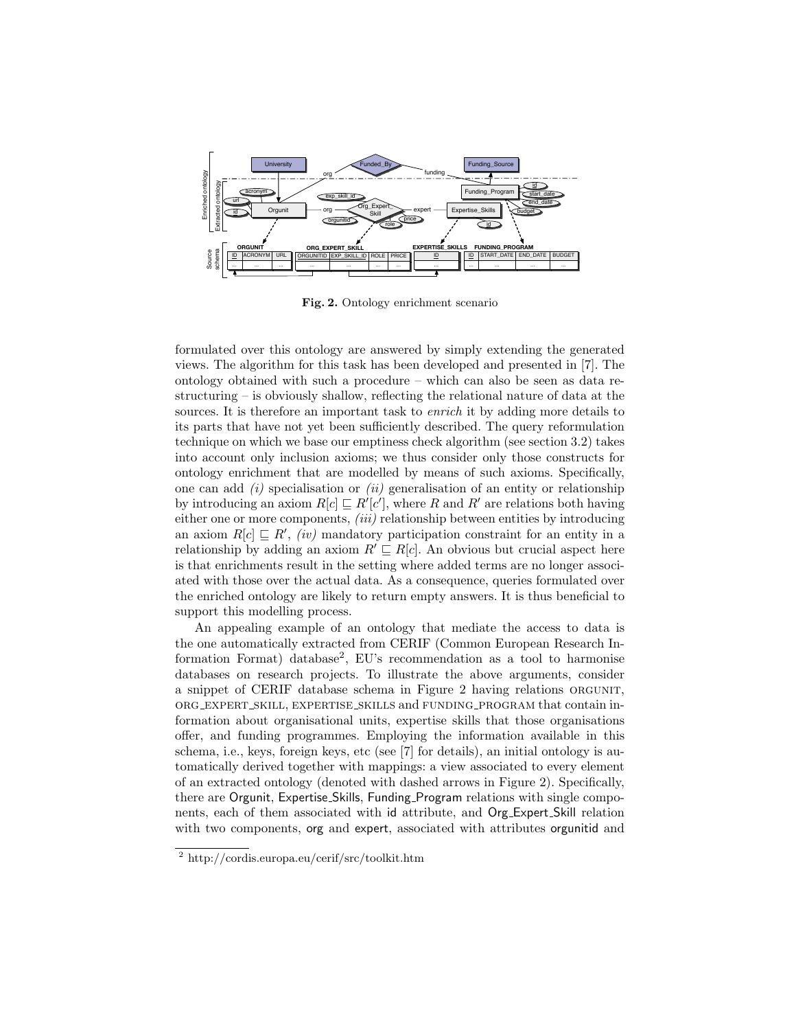

Fig. 2. Ontology enrichment scenario

formulated over this ontology are answered by simply extending the generated views. The algorithm for this task has been developed and presented in [7]. The ontology obtained with such a procedure – which can also be seen as data restructuring – is obviously shallow, reflecting the relational nature of data at the sources. It is therefore an important task to *enrich* it by adding more details to its parts that have not yet been sufficiently described. The query reformulation technique on which we base our emptiness check algorithm (see section 3.2) takes into account only inclusion axioms; we thus consider only those constructs for ontology enrichment that are modelled by means of such axioms. Specifically, one can add  $(i)$  specialisation or  $(ii)$  generalisation of an entity or relationship by introducing an axiom  $R[c] \sqsubseteq R'[c']$ , where R and R' are relations both having either one or more components, (iii) relationship between entities by introducing an axiom  $R[c] \sqsubseteq R'$ , *(iv)* mandatory participation constraint for an entity in a relationship by adding an axiom  $R' \sqsubseteq R[c]$ . An obvious but crucial aspect here is that enrichments result in the setting where added terms are no longer associated with those over the actual data. As a consequence, queries formulated over the enriched ontology are likely to return empty answers. It is thus beneficial to support this modelling process.

An appealing example of an ontology that mediate the access to data is the one automatically extracted from CERIF (Common European Research Information Format) database<sup>2</sup> , EU's recommendation as a tool to harmonise databases on research projects. To illustrate the above arguments, consider a snippet of CERIF database schema in Figure 2 having relations orgunit, org expert skill, expertise skills and funding program that contain information about organisational units, expertise skills that those organisations offer, and funding programmes. Employing the information available in this schema, i.e., keys, foreign keys, etc (see [7] for details), an initial ontology is automatically derived together with mappings: a view associated to every element of an extracted ontology (denoted with dashed arrows in Figure 2). Specifically, there are Orgunit, Expertise Skills, Funding Program relations with single components, each of them associated with id attribute, and Org Expert Skill relation with two components, org and expert, associated with attributes orgunitid and

<sup>2</sup> http://cordis.europa.eu/cerif/src/toolkit.htm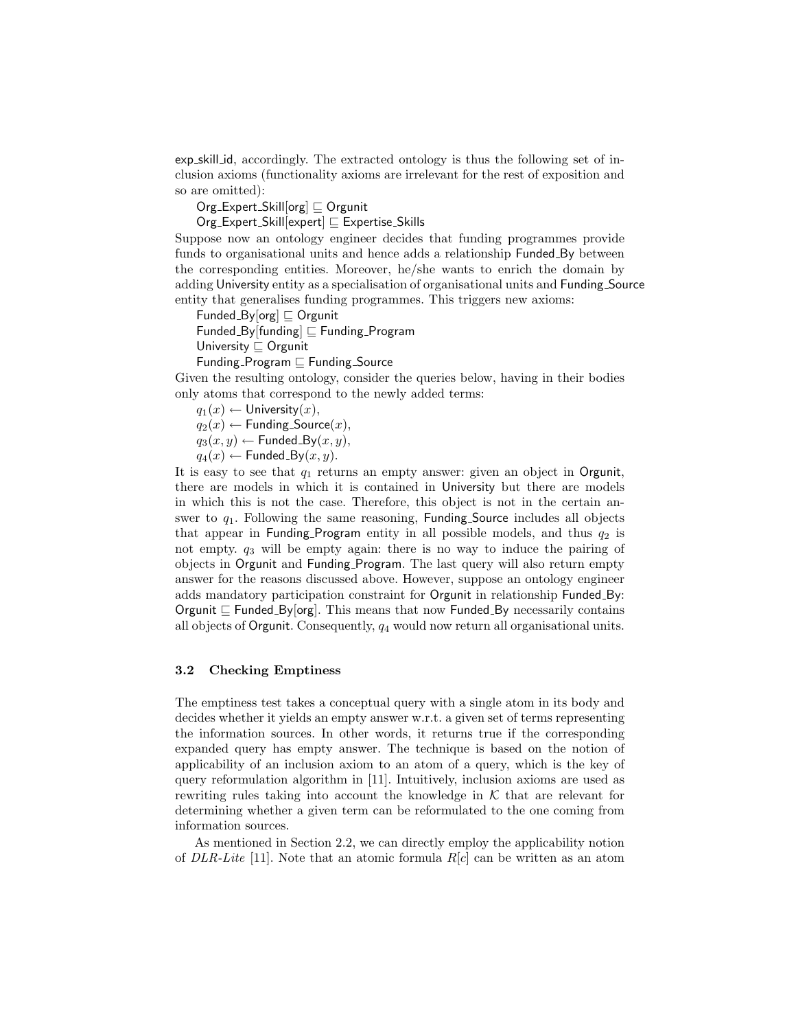exp skill id, accordingly. The extracted ontology is thus the following set of inclusion axioms (functionality axioms are irrelevant for the rest of exposition and so are omitted):

 $Org$  Expert Skill $[org] \sqsubseteq Org$ unit

 $Org$  Expert Skill[expert]  $\sqsubseteq$  Expertise Skills

Suppose now an ontology engineer decides that funding programmes provide funds to organisational units and hence adds a relationship Funded By between the corresponding entities. Moreover, he/she wants to enrich the domain by adding University entity as a specialisation of organisational units and Funding Source entity that generalises funding programmes. This triggers new axioms:

Funded By  $[org] \sqsubseteq$  Orgunit Funded By [funding]  $\sqsubseteq$  Funding Program University  $\Box$  Orgunit Funding Program  $\sqsubseteq$  Funding Source

Given the resulting ontology, consider the queries below, having in their bodies only atoms that correspond to the newly added terms:

 $q_1(x) \leftarrow$  University $(x)$ ,

 $q_2(x) \leftarrow$  Funding Source $(x)$ ,

 $q_3(x, y) \leftarrow$  Funded\_By $(x, y)$ ,

 $q_4(x) \leftarrow$  Funded\_By $(x, y)$ .

It is easy to see that  $q_1$  returns an empty answer: given an object in Orgunit, there are models in which it is contained in University but there are models in which this is not the case. Therefore, this object is not in the certain answer to  $q_1$ . Following the same reasoning, Funding Source includes all objects that appear in Funding Program entity in all possible models, and thus  $q_2$  is not empty.  $q_3$  will be empty again: there is no way to induce the pairing of objects in Orgunit and Funding Program. The last query will also return empty answer for the reasons discussed above. However, suppose an ontology engineer adds mandatory participation constraint for Orgunit in relationship Funded\_By: Orgunit  $\subseteq$  Funded By[org]. This means that now Funded By necessarily contains all objects of Orgunit. Consequently,  $q_4$  would now return all organisational units.

### 3.2 Checking Emptiness

The emptiness test takes a conceptual query with a single atom in its body and decides whether it yields an empty answer w.r.t. a given set of terms representing the information sources. In other words, it returns true if the corresponding expanded query has empty answer. The technique is based on the notion of applicability of an inclusion axiom to an atom of a query, which is the key of query reformulation algorithm in [11]. Intuitively, inclusion axioms are used as rewriting rules taking into account the knowledge in  $K$  that are relevant for determining whether a given term can be reformulated to the one coming from information sources.

As mentioned in Section 2.2, we can directly employ the applicability notion of DLR-Lite [11]. Note that an atomic formula  $R[c]$  can be written as an atom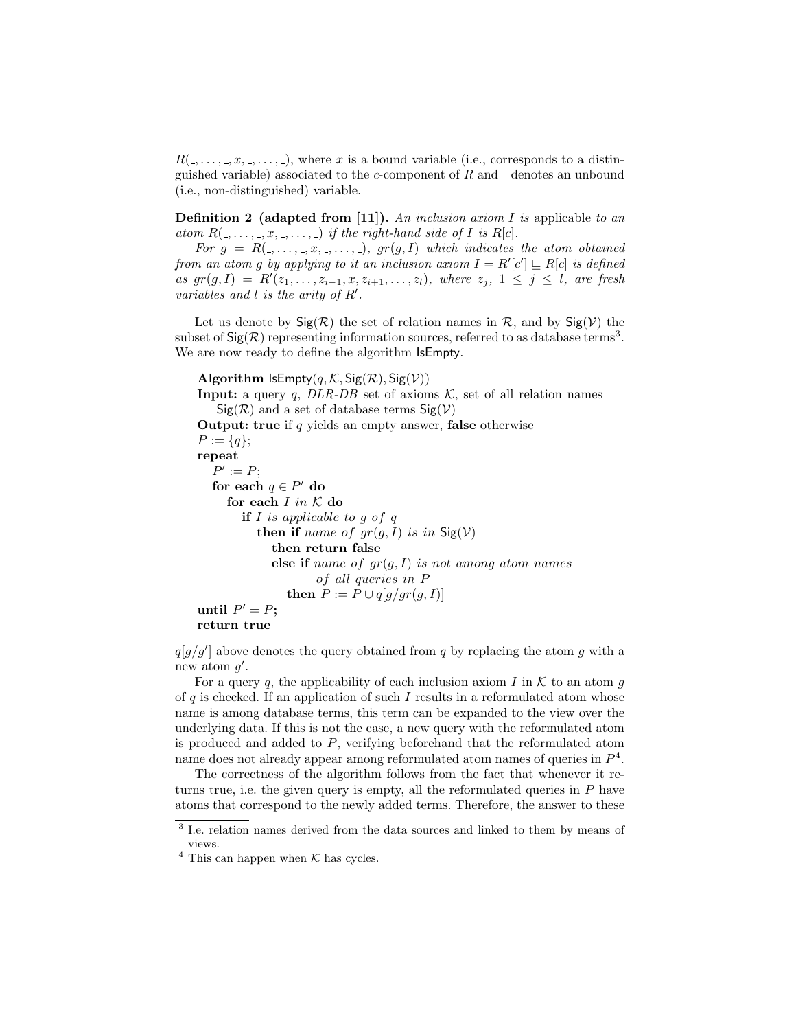$R(\ldots, \ldots, x, \ldots, \ldots)$ , where x is a bound variable (i.e., corresponds to a distinguished variable) associated to the c-component of  $R$  and  $\Box$  denotes an unbound (i.e., non-distinguished) variable.

**Definition 2** (adapted from [11]). An inclusion axiom I is applicable to an atom  $R(\_,\ldots,\_,x,\_,\ldots,\_)$  if the right-hand side of I is  $R[c]$ .

For  $g = R(1, \ldots, n, 1, \ldots, n)$ ,  $gr(g, I)$  which indicates the atom obtained from an atom g by applying to it an inclusion axiom  $I = R'[c'] \sqsubseteq R[c]$  is defined as  $gr(g, I) = R'(z_1, \ldots, z_{i-1}, x, z_{i+1}, \ldots, z_l)$ , where  $z_j$ ,  $1 \leq j \leq l$ , are fresh variables and  $l$  is the arity of  $R'$ .

Let us denote by  $\text{Sig}(\mathcal{R})$  the set of relation names in  $\mathcal{R}$ , and by  $\text{Sig}(\mathcal{V})$  the subset of  $\textsf{Sig}(\mathcal{R})$  representing information sources, referred to as database terms<sup>3</sup>. We are now ready to define the algorithm **IsEmpty**.

```
Algorithm IsEmpty(q, K, Sig(R), Sig(V))Input: a query q, DLR-DB set of axioms K, set of all relation names
   Sig(R) and a set of database terms Sig(V)Output: true if q yields an empty answer, false otherwise
P := \{q\};repeat
  P' := P;for each q \in P' do
    for each I in K do
       if I is applicable to q of qthen if name of gr(g, I) is in Sig(V)then return false
            else if name of gr(g, I) is not among atom names
                    of all queries in P
               then P := P \cup q[g/gr(g,I)]until P' = P;
return true
```
 $q[g/g']$  above denotes the query obtained from q by replacing the atom g with a new atom  $g'$ .

For a query q, the applicability of each inclusion axiom I in  $K$  to an atom q of q is checked. If an application of such I results in a reformulated atom whose name is among database terms, this term can be expanded to the view over the underlying data. If this is not the case, a new query with the reformulated atom is produced and added to P, verifying beforehand that the reformulated atom name does not already appear among reformulated atom names of queries in  $P^4$ .

The correctness of the algorithm follows from the fact that whenever it returns true, i.e. the given query is empty, all the reformulated queries in  $P$  have atoms that correspond to the newly added terms. Therefore, the answer to these

<sup>&</sup>lt;sup>3</sup> I.e. relation names derived from the data sources and linked to them by means of views.

 $^4$  This can happen when  ${\cal K}$  has cycles.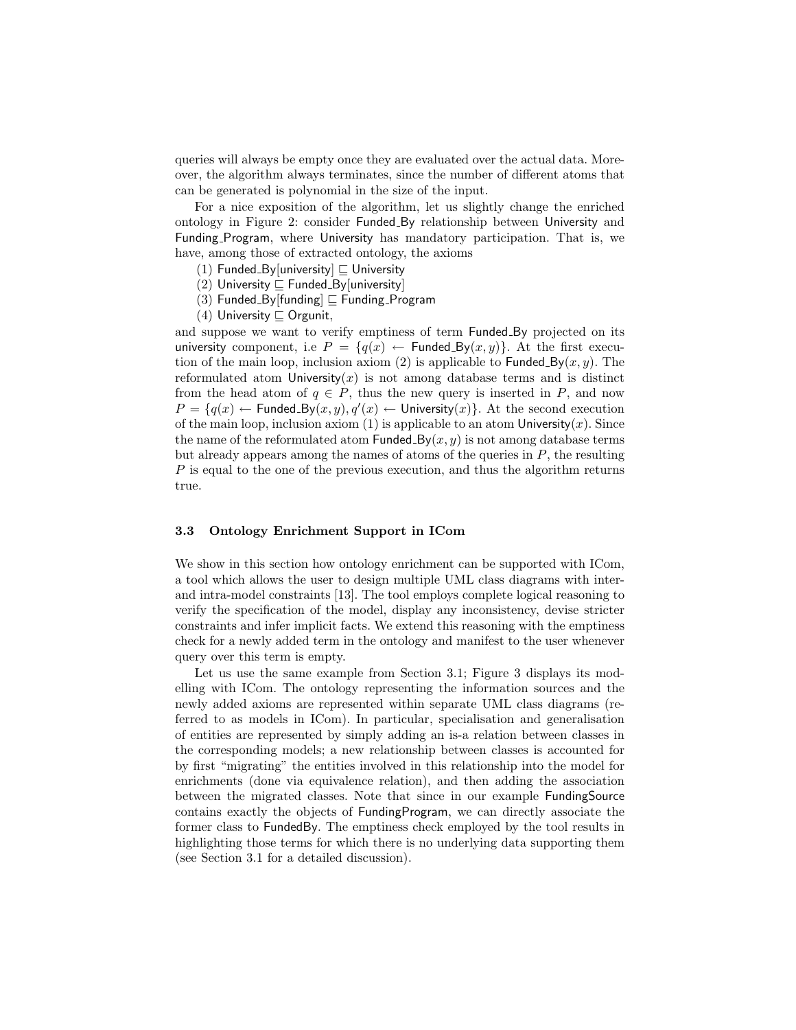queries will always be empty once they are evaluated over the actual data. Moreover, the algorithm always terminates, since the number of different atoms that can be generated is polynomial in the size of the input.

For a nice exposition of the algorithm, let us slightly change the enriched ontology in Figure 2: consider Funded By relationship between University and Funding Program, where University has mandatory participation. That is, we have, among those of extracted ontology, the axioms

- (1) Funded\_By[university]  $\sqsubseteq$  University
- (2) University  $\Box$  Funded By[university]
- (3) Funded\_By[funding]  $\sqsubseteq$  Funding\_Program
- (4) University  $\sqsubseteq$  Orgunit,

and suppose we want to verify emptiness of term Funded By projected on its university component, i.e  $P = \{q(x) \leftarrow \text{Fundred_By}(x, y)\}\$ . At the first execution of the main loop, inclusion axiom (2) is applicable to **Funded**  $By(x, y)$ . The reformulated atom University $(x)$  is not among database terms and is distinct from the head atom of  $q \in P$ , thus the new query is inserted in P, and now  $P = \{q(x) \leftarrow$  Funded\_By $(x, y), q'(x) \leftarrow$  University $(x)$ . At the second execution of the main loop, inclusion axiom (1) is applicable to an atom University $(x)$ . Since the name of the reformulated atom Funded  $By(x, y)$  is not among database terms but already appears among the names of atoms of the queries in  $P$ , the resulting P is equal to the one of the previous execution, and thus the algorithm returns true.

#### 3.3 Ontology Enrichment Support in ICom

We show in this section how ontology enrichment can be supported with ICom, a tool which allows the user to design multiple UML class diagrams with interand intra-model constraints [13]. The tool employs complete logical reasoning to verify the specification of the model, display any inconsistency, devise stricter constraints and infer implicit facts. We extend this reasoning with the emptiness check for a newly added term in the ontology and manifest to the user whenever query over this term is empty.

Let us use the same example from Section 3.1; Figure 3 displays its modelling with ICom. The ontology representing the information sources and the newly added axioms are represented within separate UML class diagrams (referred to as models in ICom). In particular, specialisation and generalisation of entities are represented by simply adding an is-a relation between classes in the corresponding models; a new relationship between classes is accounted for by first "migrating" the entities involved in this relationship into the model for enrichments (done via equivalence relation), and then adding the association between the migrated classes. Note that since in our example FundingSource contains exactly the objects of FundingProgram, we can directly associate the former class to FundedBy. The emptiness check employed by the tool results in highlighting those terms for which there is no underlying data supporting them (see Section 3.1 for a detailed discussion).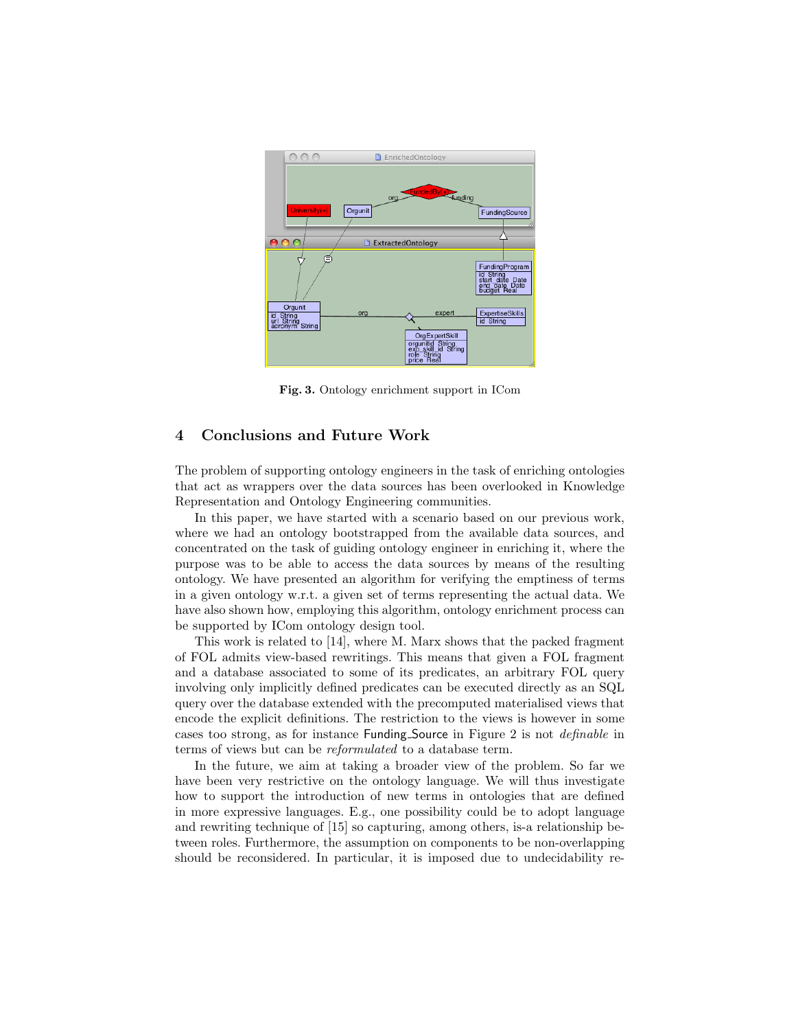

Fig. 3. Ontology enrichment support in ICom

## 4 Conclusions and Future Work

The problem of supporting ontology engineers in the task of enriching ontologies that act as wrappers over the data sources has been overlooked in Knowledge Representation and Ontology Engineering communities.

In this paper, we have started with a scenario based on our previous work, where we had an ontology bootstrapped from the available data sources, and concentrated on the task of guiding ontology engineer in enriching it, where the purpose was to be able to access the data sources by means of the resulting ontology. We have presented an algorithm for verifying the emptiness of terms in a given ontology w.r.t. a given set of terms representing the actual data. We have also shown how, employing this algorithm, ontology enrichment process can be supported by ICom ontology design tool.

This work is related to [14], where M. Marx shows that the packed fragment of FOL admits view-based rewritings. This means that given a FOL fragment and a database associated to some of its predicates, an arbitrary FOL query involving only implicitly defined predicates can be executed directly as an SQL query over the database extended with the precomputed materialised views that encode the explicit definitions. The restriction to the views is however in some cases too strong, as for instance Funding Source in Figure 2 is not definable in terms of views but can be reformulated to a database term.

In the future, we aim at taking a broader view of the problem. So far we have been very restrictive on the ontology language. We will thus investigate how to support the introduction of new terms in ontologies that are defined in more expressive languages. E.g., one possibility could be to adopt language and rewriting technique of [15] so capturing, among others, is-a relationship between roles. Furthermore, the assumption on components to be non-overlapping should be reconsidered. In particular, it is imposed due to undecidability re